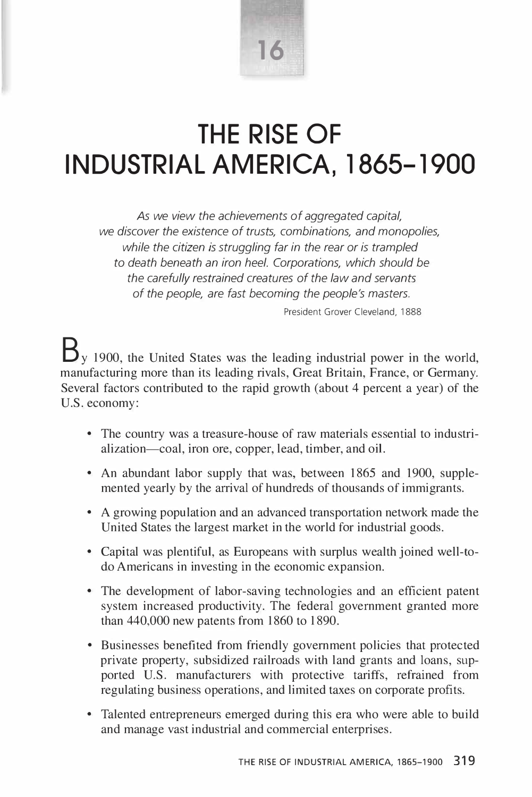

# **THE RISE OF INDUSTRIAL AMERICA, 1865-1900**

*As we view the achievements of aggregated capital, we discover the existence of trusts, combinations, and monopolies, while the citizen is struggling far in the rear or is trampled to death beneath an iron heel. Corporations, which should be the carefully restrained creatures of the law and servants of the people, are fast becoming the people's masters.* 

President Grover Cleveland, 1888

 $\mathbf{B}_{v}$  1900, the United States was the leading industrial power in the world, manufacturing more than its leading rivals, Great Britain, France, or Germany. Several factors contributed to the rapid growth (about 4 percent a year) of the U.S. economy:

- The country was a treasure-house of raw materials essential to industrialization-coal, iron ore, copper, lead, timber, and oil.
- An abundant labor supply that was, between 1865 and 1900, supplemented yearly by the arrival of hundreds of thousands of immigrants.
- A growing population and an advanced transportation network made the United States the largest market in the world for industrial goods.
- Capital was plentiful, as Europeans with surplus wealth joined well-todo Americans in investing in the economic expansion.
- The development of labor-saving technologies and an efficient patent system increased productivity. The federal government granted more than 440,000 new patents from 1860 to 1890.
- Businesses benefited from friendly government policies that protected private property, subsidized railroads with land grants and loans, supported U.S. manufacturers with protective tariffs, refrained from regulating business operations, and limited taxes on corporate profits.
- Talented entrepreneurs emerged during this era who were able to build and manage vast industrial and commercial enterprises.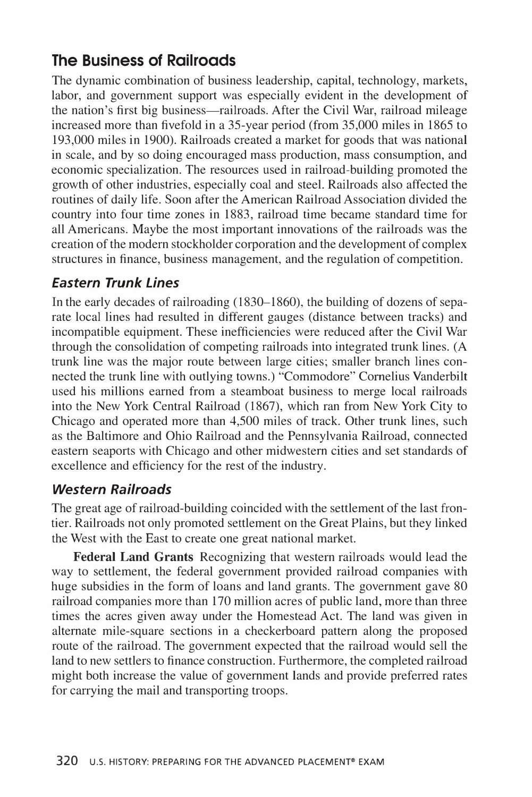## **The Business of Railroads**

The dynamic combination of business leadership, capital, technology, markets, labor, and government support was especially evident in the development of the nation's first big business—railroads. After the Civil War, railroad mileage increased more than fivefold in a 35-year period (from 35,000 miles in 1865 to 193,000 miles in 1900). Railroads created a market for goods that was national in scale, and by so doing encouraged mass production, mass consumption, and economic specialization. The resources used in railroad-building promoted the growth of other industries, especially coal and steel. Railroads also affected the routines of daily life. Soon after the American Railroad Association divided the country into four time zones in 1883, railroad time became standard time for all Americans. Maybe the most important innovations of the railroads was the creation of the modern stockholder corporation and the development of complex structures in finance, business management, and the regulation of competition.

#### *Eastern Trunk lines*

In the early decades of railroading (1830-1860), the building of dozens of separate local lines had resulted in different gauges ( distance between tracks) and incompatible equipment. These inefficiencies were reduced after the Civil War through the consolidation of competing railroads into integrated trunk lines. (A trunk line was the major route between large cities; smaller branch lines connected the trunk line with outlying towns.) "Commodore" Cornelius Vanderbilt used his millions earned from a steamboat business to merge local railroads into the New York Central Railroad (1867), which ran from New York City to Chicago and operated more than 4,500 miles of track. Other trunk lines, such as the Baltimore and Ohio Railroad and the Pennsylvania Railroad, connected eastern seaports with Chicago and other midwestern cities and set standards of excellence and efficiency for the rest of the industry.

#### *Western Railroads*

The great age of railroad-building coincided with the settlement of the last frontier. Railroads not only promoted settlement on the Great Plains, but they linked the West with the East to create one great national market.

**Federal Land Grants** Recognizing that western railroads would lead the way to settlement, the federal government provided railroad companies with huge subsidies in the form of loans and land grants. The government gave 80 railroad companies more than 170 million acres of public land, more than three times the acres given away under the Homestead Act. The land was given in alternate mile-square sections in a checkerboard pattern along the proposed route of the railroad. The government expected that the railroad would sell the land to new settlers to finance construction. Furthermore, the completed railroad might both increase the value of government lands and provide preferred rates for carrying the mail and transporting troops.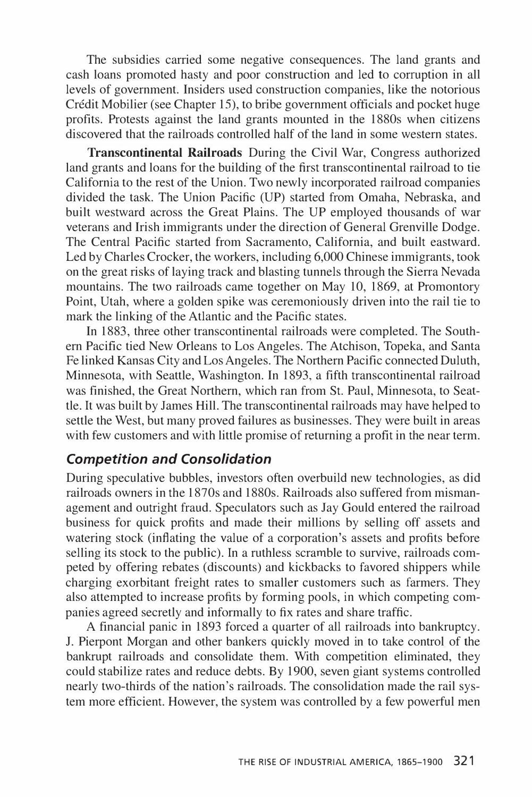The subsidies carried some negative consequences. The land grants and cash loans promoted hasty and poor construction and led to corruption in all levels of government. Insiders used construction companies, like the notorious Crédit Mobilier (see Chapter 15), to bribe government officials and pocket huge profits. Protests against the land grants mounted in the 1880s when citizens discovered that the railroads controlled half of the land in some western states.

**Transcontinental Railroads** During the Civil War, Congress authorized land grants and loans for the building of the first transcontinental railroad to tie California to the rest of the Union. Two newly incorporated railroad companies divided the task. The Union Pacific (UP) started from Omaha, Nebraska, and built westward across the Great Plains. The UP employed thousands of war veterans and Irish immigrants under the direction of General Grenville Dodge. The Central Pacific started from Sacramento, California, and built eastward. Led by Charles Crocker, the workers, including 6,000 Chinese immigrants, took on the great risks of laying track and blasting tunnels through the Sierra Nevada mountains. The two railroads came together on May 10, 1869, at Promontory Point, Utah, where a golden spike was ceremoniously driven into the rail tie to mark the linking of the Atlantic and the Pacific states.

In 1883, three other transcontinental railroads were completed. The Southern Pacific tied New Orleans to Los Angeles. The Atchison, Topeka, and Santa Fe linked Kansas City and Los Angeles. The Northern Pacific connected Duluth, Minnesota, with Seattle, Washington. In 1893, a fifth transcontinental railroad was finished, the Great Northern, which ran from St. Paul, Minnesota, to Seattle. It was built by James Hill. The transcontinental railroads may have helped to settle the West, but many proved failures as businesses. They were built in areas with few customers and with little promise of returning a profit in the near term.

#### *Competition and Consolidation*

During speculative bubbles, investors often overbuild new technologies, as did railroads owners in the 1870s and 1880s. Railroads also suffered from mismanagement and outright fraud. Speculators such as Jay Gould entered the railroad business for quick profits and made their millions by selling off assets and watering stock (inflating the value of a corporation's assets and profits before selling its stock to the public). In a ruthless scramble to survive, railroads competed by offering rebates (discounts) and kickbacks to favored shippers while charging exorbitant freight rates to smaller customers such as farmers. They also attempted to increase profits by forming pools, in which competing companies agreed secretly and informally to fix rates and share traffic.

A financial panic in 1893 forced a quarter of all railroads into bankruptcy. J. Pierpont Morgan and other bankers quickly moved in to take control of the bankrupt railroads and consolidate them. With competition eliminated, they could stabilize rates and reduce debts. By 1900, seven giant systems controlled nearly two-thirds of the nation's railroads. The consolidation made the rail system more efficient. However, the system was controlled by a few powerful men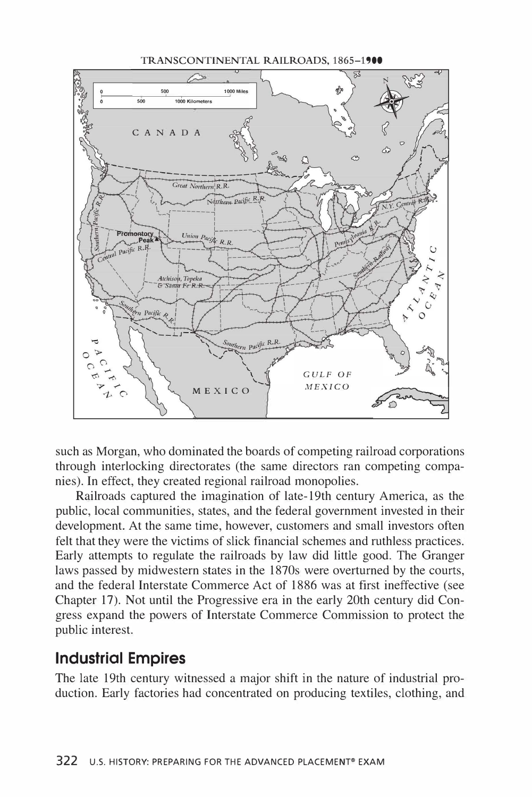

such as Morgan, who dominated the boards of competing railroad corporations through interlocking directorates (the same directors ran competing companies). In effect, they created regional railroad monopolies.

Railroads captured the imagination of late-19th century America, as the public, local communities, states, and the federal government invested in their development. At the same time, however, customers and small investors often felt that they were the victims of slick financial schemes and ruthless practices. Early attempts to regulate the railroads by law did little good. The Granger laws passed by midwestern states in the 1870s were overturned by the courts, and the federal Interstate Commerce Act of 1886 was at first ineffective (see Chapter 17). Not until the Progressive era in the early 20th century did Congress expand the powers of Interstate Commerce Commission to protect the public interest.

## **Industrial Empires**

The late 19th century witnessed a major shift in the nature of industrial production. Early factories had concentrated on producing textiles, clothing, and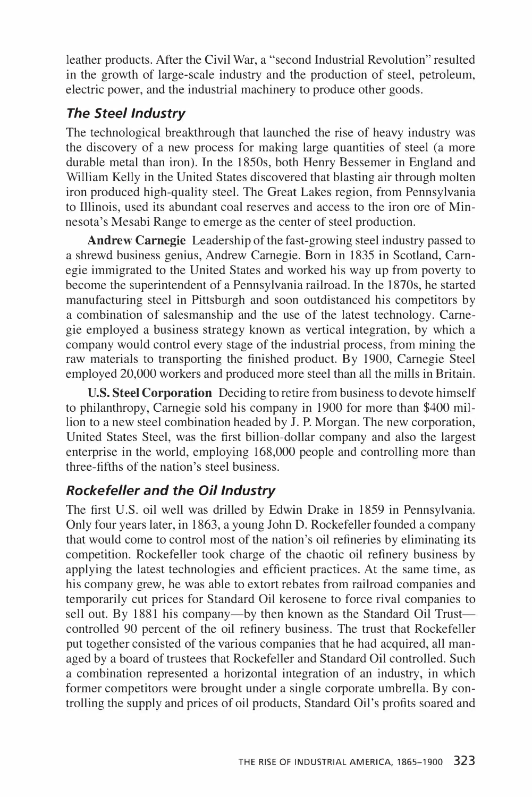leather products. After the Civil War, a "second Industrial Revolution" resulted in the growth of large-scale industry and the production of steel, petroleum, electric power, and the industrial machinery to produce other goods.

#### *The Steel Industry*

The technological breakthrough that launched the rise of heavy industry was the discovery of a new process for making large quantities of steel ( a more durable metal than iron). In the 1850s, both Henry Bessemer in England and William Kelly in the United States discovered that blasting air through molten iron produced high-quality steel. The Great Lakes region, from Pennsylvania to Illinois, used its abundant coal reserves and access to the iron ore of Minnesota's Mesabi Range to emerge as the center of steel production.

**Andrew Carnegie** Leadership of the fast-growing steel industry passed to a shrewd business genius, Andrew Carnegie. Born in 1835 in Scotland, Carnegie immigrated to the United States and worked his way up from poverty to become the superintendent of a Pennsylvania railroad. In the 1870s, he started manufacturing steel in Pittsburgh and soon outdistanced his competitors by a combination of salesmanship and the use of the latest technology. Carnegie employed a business strategy known as vertical integration, by which a company would control every stage of the industrial process, from mining the raw materials to transporting the finished product. By 1900, Carnegie Steel employed 20,000 workers and produced more steel than all the mills in Britain.

**U.S. Steel Corporation** Deciding to retire from business to devote himself to philanthropy, Carnegie sold his company in 1900 for more than \$400 million to a new steel combination headed by J. P. Morgan. The new corporation, United States Steel, was the first billion-dollar company and also the largest enterprise in the world, employing 168,000 people and controlling more than three-fifths of the nation's steel business.

## *Rockefeller and the Oil Industry*

The first U.S. oil well was drilled by Edwin Drake in 1859 in Pennsylvania. Only four years later, in 1863, a young John D. Rockefeller founded a company that would come to control most of the nation's oil refineries by eliminating its competition. Rockefeller took charge of the chaotic oil refinery business by applying the latest technologies and efficient practices. At the same time, as his company grew, he was able to extort rebates from railroad companies and temporarily cut prices for Standard Oil kerosene to force rival companies to sell out. By 1881 his company—by then known as the Standard Oil Trust controlled 90 percent of the oil refinery business. The trust that Rockefeller put together consisted of the various companies that he had acquired, all managed by a board of trustees that Rockefeller and Standard Oil controlled. Such a combination represented a horizontal integration of an industry, in which former competitors were brought under a single corporate umbrella. By controlling the supply and prices of oil products, Standard Oil's profits soared and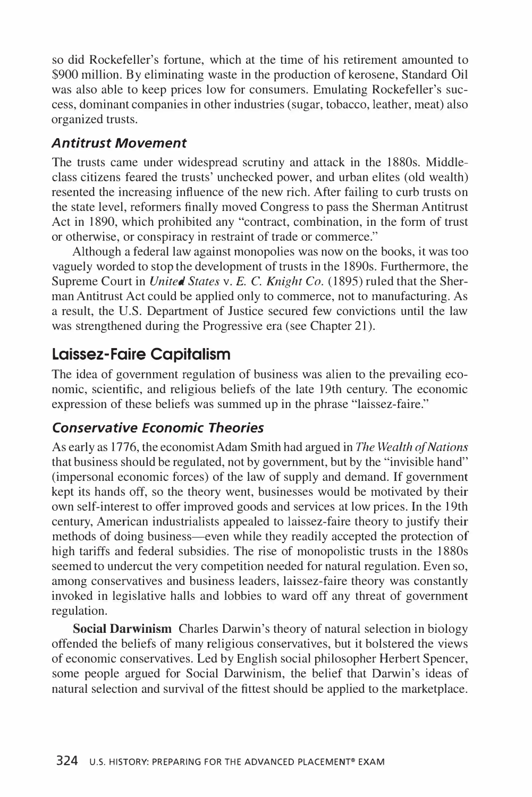so did Rockefeller's fortune, which at the time of his retirement amounted to \$900 million. By eliminating waste in the production of kerosene, Standard Oil was also able to keep prices low for consumers. Emulating Rockefeller's success, dominant companies in other industries (sugar, tobacco, leather, meat) also organized trusts.

#### *Antitrust Movement*

The trusts came under widespread scrutiny and attack in the 1880s. Middleclass citizens feared the trusts' unchecked power, and urban elites ( old wealth) resented the increasing influence of the new rich. After failing to curb trusts on the state level, reformers finally moved Congress to pass the Sherman Antitrust Act in 1890, which prohibited any "contract, combination, in the form of trust or otherwise, or conspiracy in restraint of trade or commerce."

Although a federal law against monopolies was now on the books, it was too vaguely worded to stop the development of trusts in the 1890s. Furthermore, the Supreme Court in *United States* v. *E.* C. *Knight Co.* (1895) ruled that the Sherman Antitrust Act could be applied only to commerce, not to manufacturing. As a result, the U.S. Department of Justice secured few convictions until the law was strengthened during the Progressive era (see Chapter 21).

## **Laissez-Faire Capitalism**

The idea of government regulation of business was alien to the prevailing economic, scientific, and religious beliefs of the late 19th century. The economic expression of these beliefs was summed up in the phrase "laissez-faire."

## *Conservative Economic Theories*

As early as 1776, the economist Adam Smith had argued in *The Wealth of Nations*  that business should be regulated, not by government, but by the "invisible hand" (impersonal economic forces) of the law of supply and demand. If government kept its hands off, so the theory went, businesses would be motivated by their own self-interest to offer improved goods and services at low prices. In the 19th century, American industrialists appealed to laissez-faire theory to justify their methods of doing business—even while they readily accepted the protection of high tariffs and federal subsidies. The rise of monopolistic trusts in the 1880s seemed to undercut the very competition needed for natural regulation. Even so, among conservatives and business leaders, laissez-faire theory was constantly invoked in legislative halls and lobbies to ward off any threat of government regulation.

**Social Darwinism** Charles Darwin's theory of natural selection in biology offended the beliefs of many religious conservatives, but it bolstered the views of economic conservatives. Led by English social philosopher Herbert Spencer, some people argued for Social Darwinism, the belief that Darwin's ideas of natural selection and survival of the fittest should be applied to the marketplace.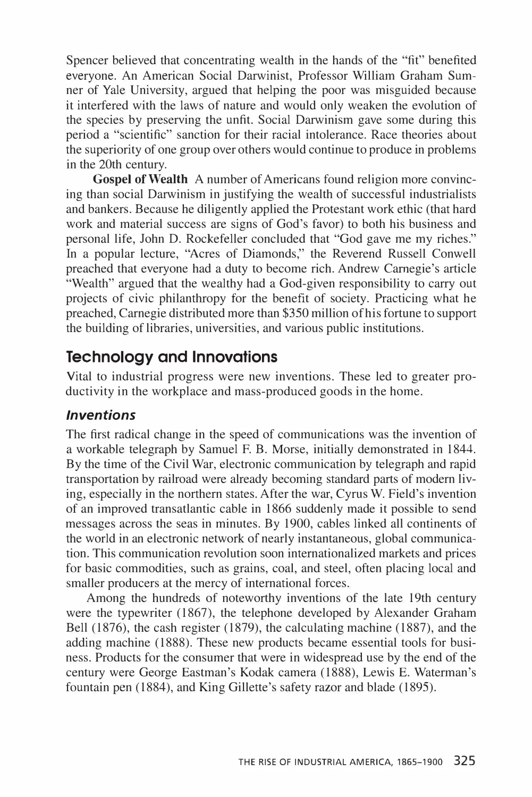Spencer believed that concentrating wealth in the hands of the "fit" benefited everyone. An American Social Darwinist, Professor William Graham Sumner of Yale University, argued that helping the poor was misguided because it interfered with the laws of nature and would only weaken the evolution of the species by preserving the unfit. Social Darwinism gave some during this period a "scientific" sanction for their racial intolerance. Race theories about the superiority of one group over others would continue to produce in problems in the 20th century.

**Gospel of Wealth** A number of Americans found religion more convincing than social Darwinism in justifying the wealth of successful industrialists and bankers. Because he diligently applied the Protestant work ethic (that hard work and material success are signs of God's favor) to both his business and personal life, John D. Rockefeller concluded that "God gave me my riches." In a popular lecture, "Acres of Diamonds," the Reverend Russell Conwell preached that everyone had a duty to become rich. Andrew Carnegie's article "Wealth" argued that the wealthy had a God-given responsibility to carry out projects of civic philanthropy for the benefit of society. Practicing what he preached, Carnegie distributed more than \$350 million of his fortune to support the building of libraries, universities, and various public institutions.

## **Technology and Innovations**

Vital to industrial progress were new inventions. These led to greater productivity in the workplace and mass-produced goods in the home.

#### *Inventions*

The first radical change in the speed of communications was the invention of a workable telegraph by Samuel F. B. Morse, initially demonstrated in 1844. By the time of the Civil War, electronic communication by telegraph and rapid transportation by railroad were already becoming standard parts of modern living, especially in the northern states. After the war, Cyrus W. Field's invention of an improved transatlantic cable in 1866 suddenly made it possible to send messages across the seas in minutes. By 1900, cables linked all continents of the world in an electronic network of nearly instantaneous, global communication. This communication revolution soon internationalized markets and prices for basic commodities, such as grains, coal, and steel, often placing local and smaller producers at the mercy of international forces.

Among the hundreds of noteworthy inventions of the late 19th century were the typewriter (1867), the telephone developed by Alexander Graham Bell (1876), the cash register (1879), the calculating machine (1887), and the adding machine (1888). These new products became essential tools for business. Products for the consumer that were in widespread use by the end of the century were George Eastman's Kodak camera (1888), Lewis E. Waterman's fountain pen (1884), and King Gillette's safety razor and blade (1895).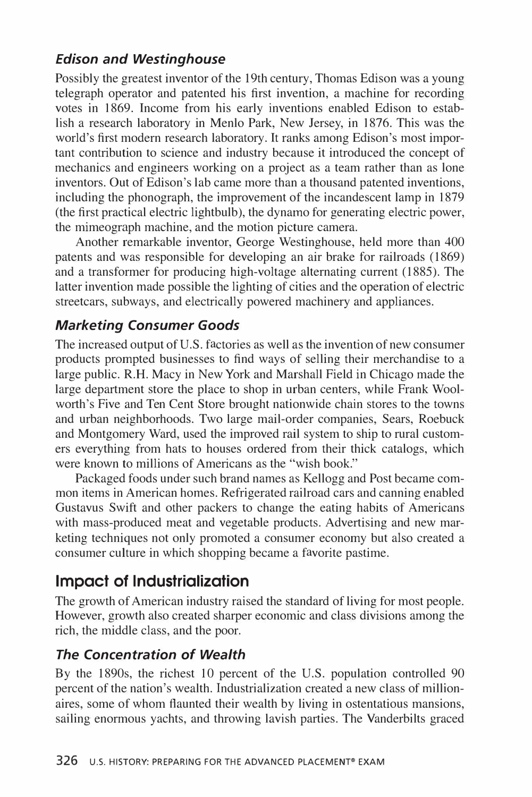## *Edison and Westinghouse*

Possibly the greatest inventor of the 19th century, Thomas Edison was a young telegraph operator and patented his first invention, a machine for recording votes in 1869. Income from his early inventions enabled Edison to establish a research laboratory in Menlo Park, New Jersey, in 1876. This was the world's first modern research laboratory. It ranks among Edison's most important contribution to science and industry because it introduced the concept of mechanics and engineers working on a project as a team rather than as lone inventors. Out of Edison's lab came more than a thousand patented inventions, including the phonograph, the improvement of the incandescent lamp in 1879 ( the first practical electric lightbulb ), the dynamo for generating electric power, the mimeograph machine, and the motion picture camera.

Another remarkable inventor, George Westinghouse, held more than 400 patents and was responsible for developing an air brake for railroads (1869) and a transformer for producing high-voltage alternating current (1885). The latter invention made possible the lighting of cities and the operation of electric streetcars, subways, and electrically powered machinery and appliances.

## *Marketing Consumer Goods*

The increased output of U.S. factories as well as the invention of new consumer products prompted businesses to find ways of selling their merchandise to a large public. R.H. Macy in New York and Marshall Field in Chicago made the large department store the place to shop in urban centers, while Frank Woolworth's Five and Ten Cent Store brought nationwide chain stores to the towns and urban neighborhoods. Two large mail-order companies, Sears, Roebuck and Montgomery Ward, used the improved rail system to ship to rural customers everything from hats to houses ordered from their thick catalogs, which were known to millions of Americans as the "wish book."

Packaged foods under such brand names as Kellogg and Post became common items in American homes. Refrigerated railroad cars and canning enabled Gustavus Swift and other packers to change the eating habits of Americans with mass-produced meat and vegetable products. Advertising and new marketing techniques not only promoted a consumer economy but also created a consumer culture in which shopping became a favorite pastime.

## **Impact of Industrialization**

The growth of American industry raised the standard of living for most people. However, growth also created sharper economic and class divisions among the rich, the middle class, and the poor.

## *The Concentration of Wealth*

By the 1890s, the richest 10 percent of the U.S. population controlled 90 percent of the nation's wealth. Industrialization created a new class of millionaires, some of whom flaunted their wealth by living in ostentatious mansions, sailing enormous yachts, and throwing lavish parties. The Vanderbilts graced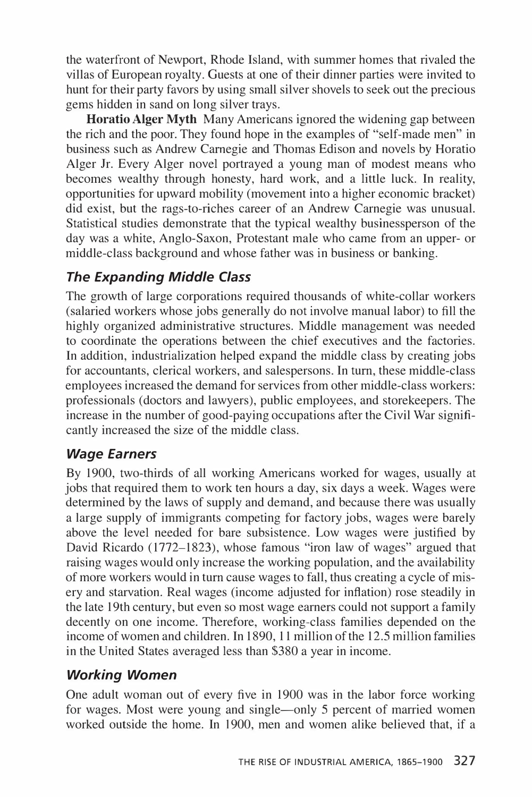the waterfront of Newport, Rhode Island, with summer homes that rivaled the villas of European royalty. Guests at one of their dinner parties were invited to hunt for their party favors by using small silver shovels to seek out the precious gems hidden in sand on long silver trays.

**Horatio Alger Myth** Many Americans ignored the widening gap between the rich and the poor. They found hope in the examples of "self-made men" in business such as Andrew Carnegie and Thomas Edison and novels by Horatio Alger Jr. Every Alger novel portrayed a young man of modest means who becomes wealthy through honesty, hard work, and a little luck. In reality, opportunities for upward mobility (movement into a higher economic bracket) did exist, but the rags-to-riches career of an Andrew Carnegie was unusual. Statistical studies demonstrate that the typical wealthy businessperson of the day was a white, Anglo-Saxon, Protestant male who came from an upper- or middle-class background and whose father was in business or banking.

## *The Expanding Middle Class*

The growth of large corporations required thousands of white-collar workers (salaried workers whose jobs generally do not involve manual labor) to fill the highly organized administrative structures. Middle management was needed to coordinate the operations between the chief executives and the factories. In addition, industrialization helped expand the middle class by creating jobs for accountants, clerical workers, and salespersons. In tum, these middle-class employees increased the demand for services from other middle-class workers: professionals (doctors and lawyers), public employees, and storekeepers. The increase in the number of good-paying occupations after the Civil War significantly increased the size of the middle class.

#### *Wage Earners*

By 1900, two-thirds of all working Americans worked for wages, usually at jobs that required them to work ten hours a day, six days a week. Wages were determined by the laws of supply and demand, and because there was usually a large supply of immigrants competing for factory jobs, wages were barely above the level needed for bare subsistence. Low wages were justified by David Ricardo (1772–1823), whose famous "iron law of wages" argued that raising wages would only increase the working population, and the availability of more workers would in tum cause wages to fall, thus creating a cycle of misery and starvation. Real wages (income adjusted for inflation) rose steadily in the late 19th century, but even so most wage earners could not support a family decently on one income. Therefore, working-class families depended on the income of women and children. In 1890, 11 million of the 12.5 million families in the United States averaged less than \$380 a year in income.

## *Working Women*

One adult woman out of every five in 1900 was in the labor force working for wages. Most were young and single—only 5 percent of married women worked outside the home. In 1900, men and women alike believed that, if a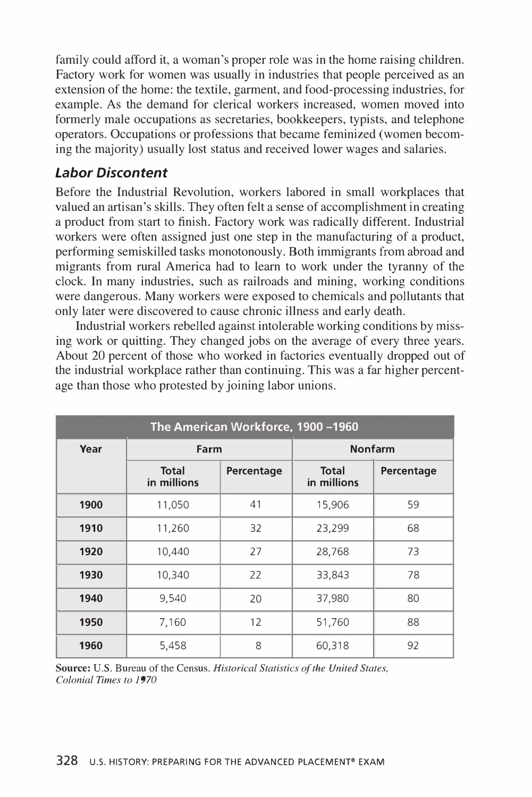family could afford it, a woman's proper role was in the home raising children. Factory work for women was usually in industries that people perceived as an extension of the home: the textile, garment, and food-processing industries, for example. As the demand for clerical workers increased, women moved into formerly male occupations as secretaries, bookkeepers, typists, and telephone operators. Occupations or professions that became feminized (women becoming the majority) usually lost status and received lower wages and salaries.

#### *Labor Discontent*

Before the Industrial Revolution, workers labored in small workplaces that valued an artisan's skills. They often felt a sense of accomplishment in creating a product from start to finish. Factory work was radically different. Industrial workers were often assigned just one step in the manufacturing of a product, performing semiskilled tasks monotonously. Both immigrants from abroad and migrants from rural America had to learn to work under the tyranny of the clock. In many industries, such as railroads and mining, working conditions were dangerous. Many workers were exposed to chemicals and pollutants that only later were discovered to cause chronic illness and early death.

Industrial workers rebelled against intolerable working conditions by missing work or quitting. They changed jobs on the average of every three years. About 20 percent of those who worked in factories eventually dropped out of the industrial workplace rather than continuing. This was a far higher percentage than those who protested by joining labor unions.

| The American Workforce, 1900-1960 |                             |            |                             |            |
|-----------------------------------|-----------------------------|------------|-----------------------------|------------|
| Year                              | Farm                        |            | <b>Nonfarm</b>              |            |
|                                   | <b>Total</b><br>in millions | Percentage | <b>Total</b><br>in millions | Percentage |
| 1900                              | 11,050                      | 41         | 15,906                      | 59         |
| 1910                              | 11,260                      | 32         | 23,299                      | 68         |
| 1920                              | 10,440                      | 27         | 28,768                      | 73         |
| 1930                              | 10,340                      | 22         | 33,843                      | 78         |
| 1940                              | 9,540                       | 20         | 37,980                      | 80         |
| 1950                              | 7,160                       | 12         | 51,760                      | 88         |
| 1960                              | 5,458                       | 8          | 60,318                      | 92         |

**Source:** U.S. Bureau of the Census. *Historical Statistics of the United States, Colonial Times to 1970*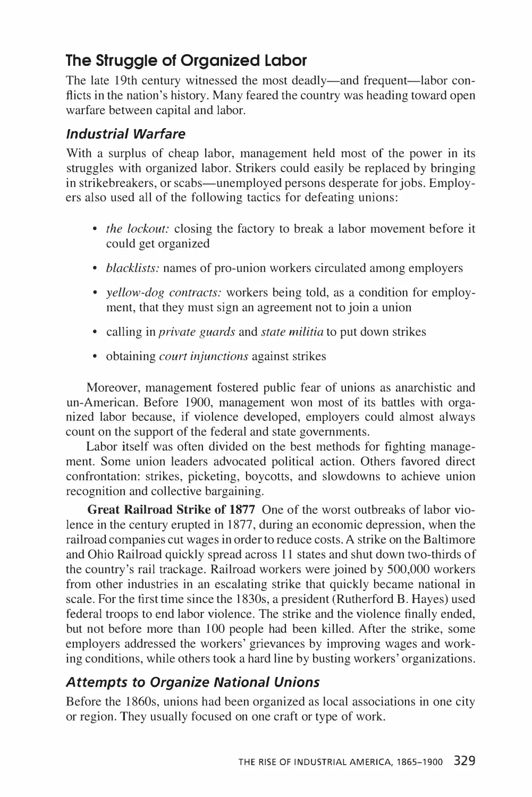## **The Struggle of Organized Labor**

The late 19th century witnessed the most deadly—and frequent—labor conflicts in the nation's history. Many feared the country was heading toward open warfare between capital and labor.

#### *Industrial Warfare*

With a surplus of cheap labor, management held most of the power in its struggles with organized labor. Strikers could easily be replaced by bringing in strikebreakers, or scabs—unemployed persons desperate for jobs. Employers also used all of the following tactics for defeating unions:

- *the lockout:* closing the factory to break a labor movement before it could get organized
- *blacklists:* names of pro-union workers circulated among employers
- *yellow-dog contracts:* workers being told, as a condition for employment, that they must sign an agreement not to join a union
- calling in *private guards* and *state militia* to put down strikes
- obtaining *court injunctions* against strikes

Moreover, management fostered public fear of unions as anarchistic and un-American. Before 1900, management won most of its battles with organized labor because, if violence developed, employers could almost always count on the support of the federal and state governments.

Labor itself was often divided on the best methods for fighting management. Some union leaders advocated political action. Others favored direct confrontation: strikes, picketing, boycotts, and slowdowns to achieve union recognition and collective bargaining.

**Great Railroad Strike of 1877** One of the worst outbreaks of labor violence in the century erupted in 1877, during an economic depression, when the railroad companies cut wages in order to reduce costs. A strike on the Baltimore and Ohio Railroad quickly spread across 11 states and shut down two-thirds of the country's rail trackage. Railroad workers were joined by 500,000 workers from other industries in an escalating strike that quickly became national in scale. For the first time since the 1830s, a president (Rutherford B. Hayes) used federal troops to end labor violence. The strike and the violence finally ended, but not before more than 100 people had been killed. After the strike, some employers addressed the workers' grievances by improving wages and working conditions, while others took a hard line by busting workers' organizations.

## *Attempts to Organize National Unions*

Before the 1860s, unions had been organized as local associations in one city or region. They usually focused on one craft or type of work.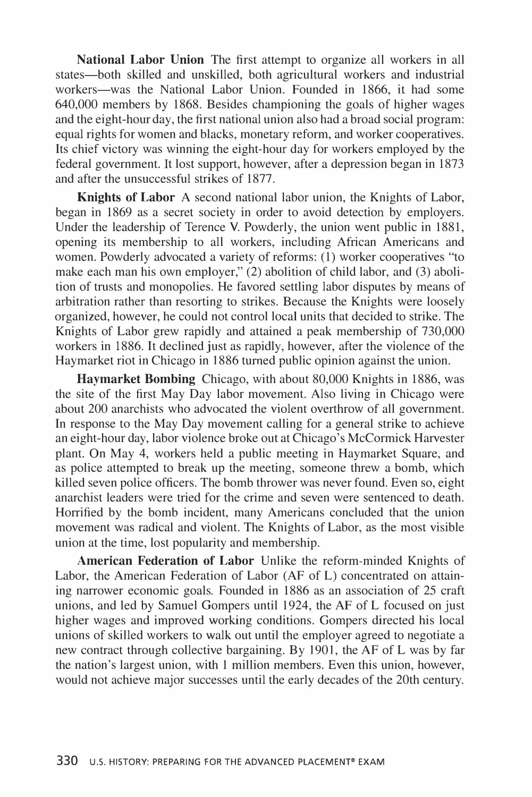**National Labor Union** The first attempt to organize all workers in all states-both skilled and unskilled, both agricultural workers and industrial workers—was the National Labor Union. Founded in 1866, it had some 640,000 members by 1868. Besides championing the goals of higher wages and the eight-hour day, the first national union also had a broad social program: equal rights for women and blacks, monetary reform, and worker cooperatives. Its chief victory was winning the eight-hour day for workers employed by the federal government. It lost support, however, after a depression began in 1873 and after the unsuccessful strikes of 1877.

**Knights of Labor** A second national labor union, the Knights of Labor, began in 1869 as a secret society in order to avoid detection by employers. Under the leadership of Terence V. Powderly, the union went public in 1881, opening its membership to all workers, including African Americans and women. Powderly advocated a variety of reforms: (1) worker cooperatives "to make each man his own employer," (2) abolition of child labor, and (3) abolition of trusts and monopolies. He favored settling labor disputes by means of arbitration rather than resorting to strikes. Because the Knights were loosely organized, however, he could not control local units that decided to strike. The Knights of Labor grew rapidly and attained a peak membership of 730,000 workers in 1886. It declined just as rapidly, however, after the violence of the Haymarket riot in Chicago in 1886 turned public opinion against the union.

**Haymarket Bombing** Chicago, with about 80,000 Knights in 1886, was the site of the first May Day labor movement. Also living in Chicago were about 200 anarchists who advocated the violent overthrow of all government. In response to the May Day movement calling for a general strike to achieve an eight-hour day, labor violence broke out at Chicago's McCormick Harvester plant. On May 4, workers held a public meeting in Haymarket Square, and as police attempted to break up the meeting, someone threw a bomb, which killed seven police officers. The bomb thrower was never found. Even so, eight anarchist leaders were tried for the crime and seven were sentenced to death. Horrified by the bomb incident, many Americans concluded that the union movement was radical and violent. The Knights of Labor, as the most visible union at the time, lost popularity and membership.

**American Federation of Labor** Unlike the reform-minded Knights of Labor, the American Federation of Labor (AF of L) concentrated on attaining narrower economic goals. Founded in 1886 as an association of 25 craft unions, and led by Samuel Gompers until 1924, the AF of L focused on just higher wages and improved working conditions. Gompers directed his local unions of skilled workers to walk out until the employer agreed to negotiate a new contract through collective bargaining. By 1901, the AF of L was by far the nation's largest union, with 1 million members. Even this union, however, would not achieve major successes until the early decades of the 20th century.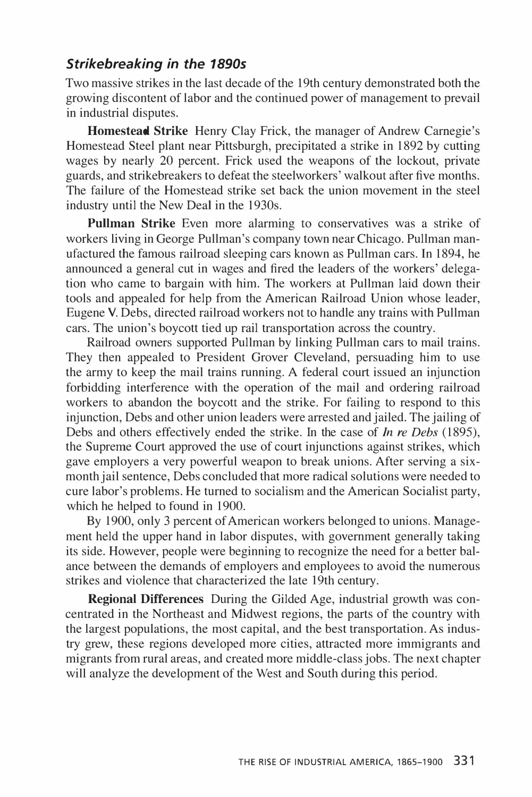#### *Strikebreaking in the 1890s*

Two massive strikes in the last decade of the 19th century demonstrated both the growing discontent of labor and the continued power of management to prevail in industrial disputes.

**Homestead Strike** Henry Clay Frick, the manager of Andrew Carnegie's Homestead Steel plant near Pittsburgh, precipitated a strike in 1892 by cutting wages by nearly 20 percent. Frick used the weapons of the lockout, private guards, and strikebreakers to defeat the steelworkers' walkout after five months. The failure of the Homestead strike set back the union movement in the steel industry until the New Deal in the 1930s.

**Pullman Strike** Even more alarming to conservatives was a strike of workers living in George Pullman's company town near Chicago. Pullman manufactured the famous railroad sleeping cars known as Pullman cars. In 1894, he announced a general cut in wages and fired the leaders of the workers' delegation who came to bargain with him. The workers at Pullman laid down their tools and appealed for help from the American Railroad Union whose leader, Eugene V. Debs, directed railroad workers not to handle any trains with Pullman cars. The union's boycott tied up rail transportation across the country.

Railroad owners supported Pullman by linking Pullman cars to mail trains. They then appealed to President Grover Cleveland, persuading him to use the army to keep the mail trains running. A federal court issued an injunction forbidding interference with the operation of the mail and ordering railroad workers to abandon the boycott and the strike. For failing to respond to this injunction, Debs and other union leaders were arrested and jailed. The jailing of Debs and others effectively ended the strike. In the case of *In re Debs* (1895), the Supreme Court approved the use of court injunctions against strikes, which gave employers a very powerful weapon to break unions. After serving a sixmonth jail sentence, Debs concluded that more radical solutions were needed to cure labor's problems. He turned to socialism and the American Socialist party, which he helped to found in 1900.

By 1900, only 3 percent of American workers belonged to unions. Management held the upper hand in labor disputes, with government generally taking its side. However, people were beginning to recognize the need for a better balance between the demands of employers and employees to avoid the numerous strikes and violence that characterized the late 19th century.

**Regional Differences** During the Gilded Age, industrial growth was concentrated in the Northeast and Midwest regions, the parts of the country with the largest populations, the most capital, and the best transportation. As industry grew, these regions developed more cities, attracted more immigrants and migrants from rural areas, and created more middle-class jobs. The next chapter will analyze the development of the West and South during this period.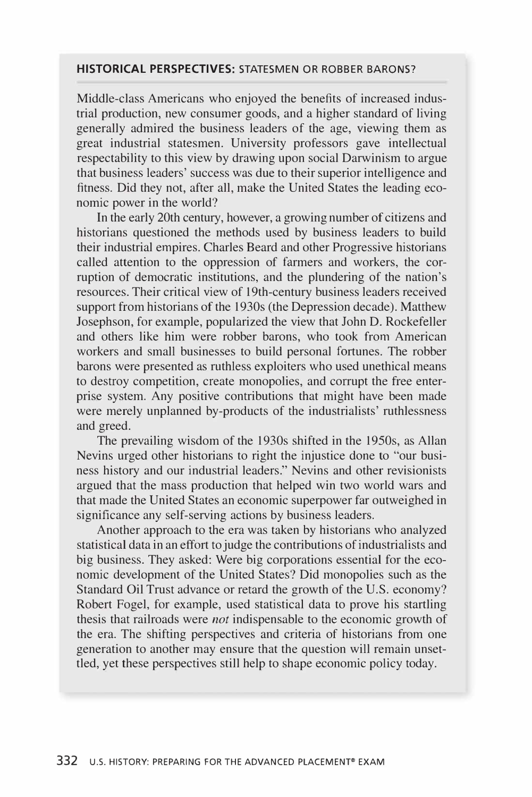#### **HISTORICAL PERSPECTIVES:** STATESMEN OR ROBBER BARONS?

Middle-class Americans who enjoyed the benefits of increased industrial production, new consumer goods, and a higher standard of living generally admired the business leaders of the age, viewing them as great industrial statesmen. University professors gave intellectual respectability to this view by drawing upon social Darwinism to argue that business leaders' success was due to their superior intelligence and fitness. Did they not, after all, make the United States the leading economic power in the world?

In the early 20th century, however, a growing number of citizens and historians questioned the methods used by business leaders to build their industrial empires. Charles Beard and other Progressive historians called attention to the oppression of farmers and workers, the corruption of democratic institutions, and the plundering of the nation's resources. Their critical view of 19th-century business leaders received support from historians of the 1930s (the Depression decade). Matthew Josephson, for example, popularized the view that John D. Rockefeller and others like him were robber barons, who took from American workers and small businesses to build personal fortunes. The robber barons were presented as ruthless exploiters who used unethical means to destroy competition, create monopolies, and corrupt the free enterprise system. Any positive contributions that might have been made were merely unplanned by-products of the industrialists' ruthlessness and greed.

The prevailing wisdom of the 1930s shifted in the 1950s, as Allan Nevins urged other historians to right the injustice done to "our business history and our industrial leaders." Nevins and other revisionists argued that the mass production that helped win two world wars and that made the United States an economic superpower far outweighed in significance any self-serving actions by business leaders.

Another approach to the era was taken by historians who analyzed statistical data in an effort to judge the contributions of industrialists and big business. They asked: Were big corporations essential for the economic development of the United States? Did monopolies such as the Standard Oil Trust advance or retard the growth of the U.S. economy? Robert Fogel, for example, used statistical data to prove his startling thesis that railroads were *not* indispensable to the economic growth of the era. The shifting perspectives and criteria of historians from one generation to another may ensure that the question will remain unsettled, yet these perspectives still help to shape economic policy today.